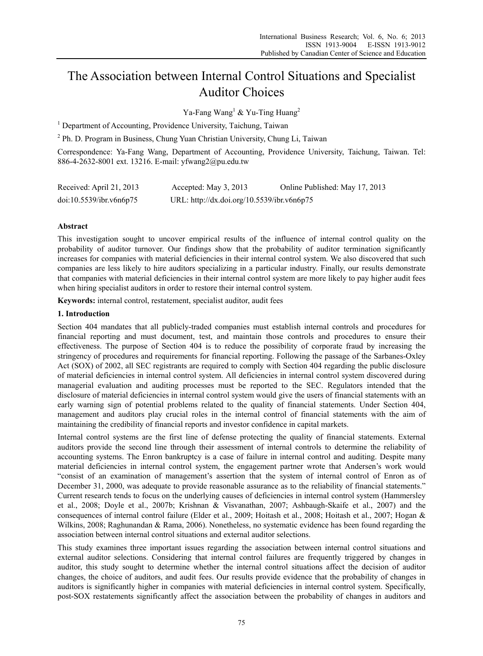# The Association between Internal Control Situations and Specialist Auditor Choices

Ya-Fang Wang<sup>1</sup> & Yu-Ting Huang<sup>2</sup>

<sup>1</sup> Department of Accounting, Providence University, Taichung, Taiwan

<sup>2</sup> Ph. D. Program in Business, Chung Yuan Christian University, Chung Li, Taiwan

Correspondence: Ya-Fang Wang, Department of Accounting, Providence University, Taichung, Taiwan. Tel: 886-4-2632-8001 ext. 13216. E-mail: yfwang2@pu.edu.tw

| Received: April 21, 2013 | Accepted: May $3, 2013$                    | Online Published: May 17, 2013 |
|--------------------------|--------------------------------------------|--------------------------------|
| doi:10.5539/ibr.v6n6p75  | URL: http://dx.doi.org/10.5539/ibr.v6n6p75 |                                |

# **Abstract**

This investigation sought to uncover empirical results of the influence of internal control quality on the probability of auditor turnover. Our findings show that the probability of auditor termination significantly increases for companies with material deficiencies in their internal control system. We also discovered that such companies are less likely to hire auditors specializing in a particular industry. Finally, our results demonstrate that companies with material deficiencies in their internal control system are more likely to pay higher audit fees when hiring specialist auditors in order to restore their internal control system.

**Keywords:** internal control, restatement, specialist auditor, audit fees

# **1. Introduction**

Section 404 mandates that all publicly-traded companies must establish internal controls and procedures for financial reporting and must document, test, and maintain those controls and procedures to ensure their effectiveness. The purpose of Section 404 is to reduce the possibility of corporate fraud by increasing the stringency of procedures and requirements for financial reporting. Following the passage of the Sarbanes-Oxley Act (SOX) of 2002, all SEC registrants are required to comply with Section 404 regarding the public disclosure of material deficiencies in internal control system. All deficiencies in internal control system discovered during managerial evaluation and auditing processes must be reported to the SEC. Regulators intended that the disclosure of material deficiencies in internal control system would give the users of financial statements with an early warning sign of potential problems related to the quality of financial statements. Under Section 404, management and auditors play crucial roles in the internal control of financial statements with the aim of maintaining the credibility of financial reports and investor confidence in capital markets.

Internal control systems are the first line of defense protecting the quality of financial statements. External auditors provide the second line through their assessment of internal controls to determine the reliability of accounting systems. The Enron bankruptcy is a case of failure in internal control and auditing. Despite many material deficiencies in internal control system, the engagement partner wrote that Andersen's work would "consist of an examination of management's assertion that the system of internal control of Enron as of December 31, 2000, was adequate to provide reasonable assurance as to the reliability of financial statements." Current research tends to focus on the underlying causes of deficiencies in internal control system (Hammersley et al., 2008; Doyle et al., 2007b; Krishnan & Visvanathan, 2007; Ashbaugh-Skaife et al., 2007) and the consequences of internal control failure (Elder et al., 2009; Hoitash et al., 2008; Hoitash et al., 2007; Hogan & Wilkins, 2008; Raghunandan & Rama, 2006). Nonetheless, no systematic evidence has been found regarding the association between internal control situations and external auditor selections.

This study examines three important issues regarding the association between internal control situations and external auditor selections. Considering that internal control failures are frequently triggered by changes in auditor, this study sought to determine whether the internal control situations affect the decision of auditor changes, the choice of auditors, and audit fees. Our results provide evidence that the probability of changes in auditors is significantly higher in companies with material deficiencies in internal control system. Specifically, post-SOX restatements significantly affect the association between the probability of changes in auditors and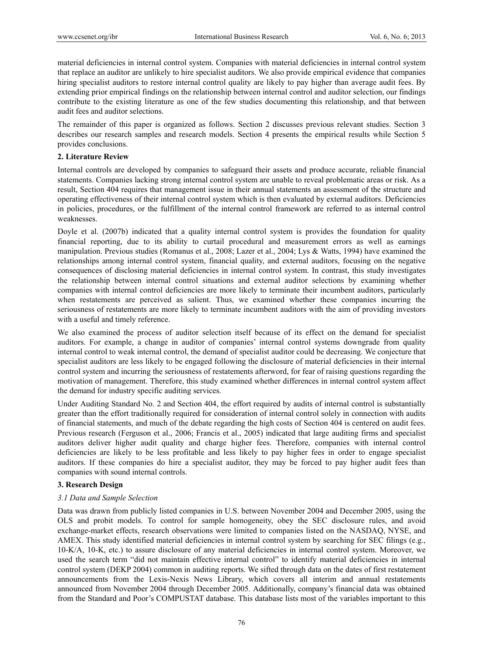material deficiencies in internal control system. Companies with material deficiencies in internal control system that replace an auditor are unlikely to hire specialist auditors. We also provide empirical evidence that companies hiring specialist auditors to restore internal control quality are likely to pay higher than average audit fees. By extending prior empirical findings on the relationship between internal control and auditor selection, our findings contribute to the existing literature as one of the few studies documenting this relationship, and that between audit fees and auditor selections.

The remainder of this paper is organized as follows. Section 2 discusses previous relevant studies. Section 3 describes our research samples and research models. Section 4 presents the empirical results while Section 5 provides conclusions.

# **2. Literature Review**

Internal controls are developed by companies to safeguard their assets and produce accurate, reliable financial statements. Companies lacking strong internal control system are unable to reveal problematic areas or risk. As a result, Section 404 requires that management issue in their annual statements an assessment of the structure and operating effectiveness of their internal control system which is then evaluated by external auditors. Deficiencies in policies, procedures, or the fulfillment of the internal control framework are referred to as internal control weaknesses.

Doyle et al. (2007b) indicated that a quality internal control system is provides the foundation for quality financial reporting, due to its ability to curtail procedural and measurement errors as well as earnings manipulation. Previous studies (Romanus et al., 2008; Lazer et al., 2004; Lys & Watts, 1994) have examined the relationships among internal control system, financial quality, and external auditors, focusing on the negative consequences of disclosing material deficiencies in internal control system. In contrast, this study investigates the relationship between internal control situations and external auditor selections by examining whether companies with internal control deficiencies are more likely to terminate their incumbent auditors, particularly when restatements are perceived as salient. Thus, we examined whether these companies incurring the seriousness of restatements are more likely to terminate incumbent auditors with the aim of providing investors with a useful and timely reference.

We also examined the process of auditor selection itself because of its effect on the demand for specialist auditors. For example, a change in auditor of companies' internal control systems downgrade from quality internal control to weak internal control, the demand of specialist auditor could be decreasing. We conjecture that specialist auditors are less likely to be engaged following the disclosure of material deficiencies in their internal control system and incurring the seriousness of restatements afterword, for fear of raising questions regarding the motivation of management. Therefore, this study examined whether differences in internal control system affect the demand for industry specific auditing services.

Under Auditing Standard No. 2 and Section 404, the effort required by audits of internal control is substantially greater than the effort traditionally required for consideration of internal control solely in connection with audits of financial statements, and much of the debate regarding the high costs of Section 404 is centered on audit fees. Previous research (Ferguson et al., 2006; Francis et al., 2005) indicated that large auditing firms and specialist auditors deliver higher audit quality and charge higher fees. Therefore, companies with internal control deficiencies are likely to be less profitable and less likely to pay higher fees in order to engage specialist auditors. If these companies do hire a specialist auditor, they may be forced to pay higher audit fees than companies with sound internal controls.

# **3. Research Design**

# *3.1 Data and Sample Selection*

Data was drawn from publicly listed companies in U.S. between November 2004 and December 2005, using the OLS and probit models. To control for sample homogeneity, obey the SEC disclosure rules, and avoid exchange-market effects, research observations were limited to companies listed on the NASDAQ, NYSE, and AMEX. This study identified material deficiencies in internal control system by searching for SEC filings (e.g., 10-K/A, 10-K, etc.) to assure disclosure of any material deficiencies in internal control system. Moreover, we used the search term "did not maintain effective internal control" to identify material deficiencies in internal control system (DEKP 2004) common in auditing reports. We sifted through data on the dates of first restatement announcements from the Lexis-Nexis News Library, which covers all interim and annual restatements announced from November 2004 through December 2005. Additionally, company's financial data was obtained from the Standard and Poor's COMPUSTAT database. This database lists most of the variables important to this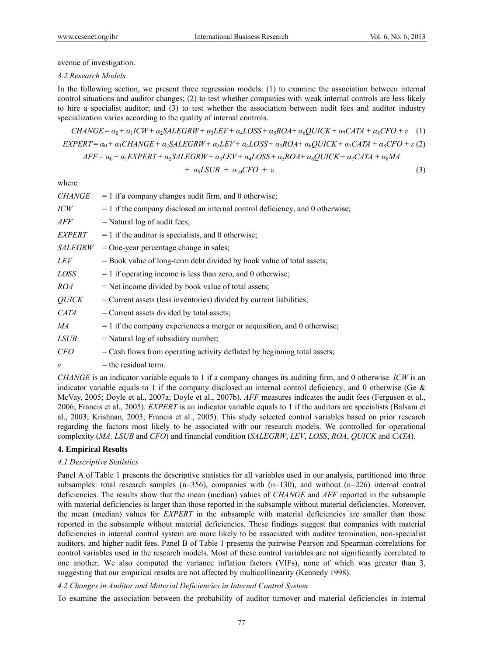avenue of investigation.

## *3.2 Research Models*

In the following section, we present three regression models: (1) to examine the association between internal control situations and auditor changes; (2) to test whether companies with weak internal controls are less likely to hire a specialist auditor; and (3) to test whether the association between audit fees and auditor industry specialization varies according to the quality of internal controls.

$$
CHANGE = \alpha_0 + \alpha_1ICW + \alpha_2 SALEGRW + \alpha_3LEV + \alpha_4 LOSS + \alpha_5 ROA + \alpha_6 QUICK + \alpha_7 CATA + \alpha_8 CFO + \varepsilon \quad (1)
$$
  
EXPERT = \alpha\_0 + \alpha\_1 CHANGE + \alpha\_2 SALEGRW + \alpha\_3 LEV + \alpha\_4 LOSS + \alpha\_5 ROA + \alpha\_6 QUICK + \alpha\_7 CATA + \alpha\_8 CFO + \varepsilon \quad (2)  
AFF = \alpha\_0 + \alpha\_1 EXPERT + \alpha\_2 SALEGRW + \alpha\_3 LEV + \alpha\_4 LOSS + \alpha\_5 ROA + \alpha\_6 QUICK + \alpha\_7 CATA + \alpha\_8 MA

$$
+ \ \alpha_9LSUB \ + \ \alpha_{10}CFO \ + \ \varepsilon \tag{3}
$$

where

| <i>CHANGE</i>  | $= 1$ if a company changes audit firm, and 0 otherwise;                         |
|----------------|---------------------------------------------------------------------------------|
| ICW            | $= 1$ if the company disclosed an internal control deficiency, and 0 otherwise; |
| AFF            | $=$ Natural log of audit fees;                                                  |
| EXPERT         | $= 1$ if the auditor is specialists, and 0 otherwise;                           |
| <i>SALEGRW</i> | $=$ One-year percentage change in sales;                                        |
| LEV            | $=$ Book value of long-term debt divided by book value of total assets;         |
| <i>LOSS</i>    | $= 1$ if operating income is less than zero, and 0 otherwise;                   |
| <i>ROA</i>     | $=$ Net income divided by book value of total assets;                           |
| <b>QUICK</b>   | = Current assets (less inventories) divided by current liabilities;             |
| CATA           | $=$ Current assets divided by total assets;                                     |
| MA             | $= 1$ if the company experiences a merger or acquisition, and 0 otherwise;      |
| <i>LSUB</i>    | $=$ Natural log of subsidiary number;                                           |
| <i>CFO</i>     | $=$ Cash flows from operating activity deflated by beginning total assets;      |
| ε              | $=$ the residual term.                                                          |
|                |                                                                                 |

*CHANGE* is an indicator variable equals to 1 if a company changes its auditing firm, and 0 otherwise. *ICW* is an indicator variable equals to 1 if the company disclosed an internal control deficiency, and 0 otherwise (Ge  $\&$ McVay, 2005; Doyle et al., 2007a; Doyle et al., 2007b). *AFF* measures indicates the audit fees (Ferguson et al., 2006; Francis et al., 2005). *EXPERT* is an indicator variable equals to 1 if the auditors are specialists (Balsam et al., 2003; Krishnan, 2003; Francis et al., 2005). This study selected control variables based on prior research regarding the factors most likely to be associated with our research models. We controlled for operational complexity (*MA, LSUB* and *CFO*) and financial condition (*SALEGRW*, *LEV*, *LOSS*, *ROA*, *QUICK* and *CATA*).

## **4. Empirical Results**

#### *4.1 Descriptive Statistics*

Panel A of Table 1 presents the descriptive statistics for all variables used in our analysis, partitioned into three subsamples: total research samples  $(n=356)$ , companies with  $(n=130)$ , and without  $(n=226)$  internal control deficiencies. The results show that the mean (median) values of *CHANGE* and *AFF* reported in the subsample with material deficiencies is larger than those reported in the subsample without material deficiencies. Moreover, the mean (median) values for *EXPERT* in the subsample with material deficiencies are smaller than those reported in the subsample without material deficiencies. These findings suggest that companies with material deficiencies in internal control system are more likely to be associated with auditor termination, non-specialist auditors, and higher audit fees. Panel B of Table 1 presents the pairwise Pearson and Spearman correlations for control variables used in the research models. Most of these control variables are not significantly correlated to one another. We also computed the variance inflation factors (VIFs), none of which was greater than 3, suggesting that our empirical results are not affected by multicollinearity (Kennedy 1998).

## *4.2 Changes in Auditor and Material Deficiencies in Internal Control System*

To examine the association between the probability of auditor turnover and material deficiencies in internal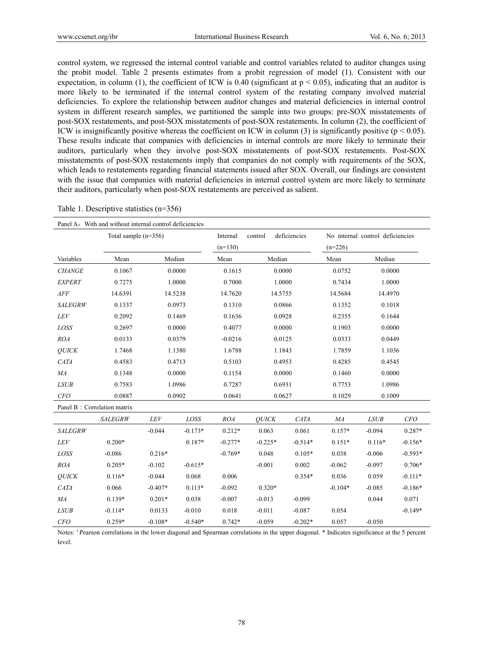control system, we regressed the internal control variable and control variables related to auditor changes using the probit model. Table 2 presents estimates from a probit regression of model (1). Consistent with our expectation, in column (1), the coefficient of ICW is 0.40 (significant at  $p < 0.05$ ), indicating that an auditor is more likely to be terminated if the internal control system of the restating company involved material deficiencies. To explore the relationship between auditor changes and material deficiencies in internal control system in different research samples, we partitioned the sample into two groups: pre-SOX misstatements of post-SOX restatements, and post-SOX misstatements of post-SOX restatements. In column (2), the coefficient of ICW is insignificantly positive whereas the coefficient on ICW in column (3) is significantly positive ( $p < 0.05$ ). These results indicate that companies with deficiencies in internal controls are more likely to terminate their auditors, particularly when they involve post-SOX misstatements of post-SOX restatements. Post-SOX misstatements of post-SOX restatements imply that companies do not comply with requirements of the SOX, which leads to restatements regarding financial statements issued after SOX. Overall, our findings are consistent with the issue that companies with material deficiencies in internal control system are more likely to terminate their auditors, particularly when post-SOX restatements are perceived as salient.

| Table 1. Descriptive statistics $(n=356)$ |  |
|-------------------------------------------|--|
|-------------------------------------------|--|

| Panel A: With and without internal control deficiencies |                             |           |           |                         |              |                                  |                  |             |           |
|---------------------------------------------------------|-----------------------------|-----------|-----------|-------------------------|--------------|----------------------------------|------------------|-------------|-----------|
|                                                         | Total sample $(n=356)$      |           | Internal  | deficiencies<br>control |              | No internal control deficiencies |                  |             |           |
|                                                         |                             |           |           | $(n=130)$               |              | $(n=226)$                        |                  |             |           |
| Variables                                               | Mean                        | Median    |           | Mean                    | Median       |                                  | Median<br>Mean   |             |           |
| <b>CHANGE</b>                                           | 0.1067                      |           | 0.0000    | 0.1615                  | 0.0000       |                                  | 0.0000<br>0.0752 |             |           |
| <b>EXPERT</b>                                           | 0.7275                      |           | 1.0000    | 0.7000                  | 1.0000       |                                  | 1.0000<br>0.7434 |             |           |
| ${\it AFF}$                                             | 14.6391                     | 14.5238   |           | 14.7620                 | 14.5755      |                                  | 14.5684          | 14.4970     |           |
| <b>SALEGRW</b>                                          | 0.1337                      |           | 0.0973    | 0.1310                  | 0.0866       |                                  | 0.1352           | 0.1018      |           |
| <b>LEV</b>                                              | 0.2092                      |           | 0.1469    | 0.1636                  | 0.0928       |                                  | 0.2355           | 0.1644      |           |
| LOSS                                                    | 0.2697                      |           | 0.0000    | 0.4077                  | 0.0000       |                                  | 0.1903           | 0.0000      |           |
| <b>ROA</b>                                              | 0.0133                      |           | 0.0379    | $-0.0216$               | 0.0125       |                                  | 0.0333           | 0.0449      |           |
| QUICK                                                   | 1.7468                      |           | 1.1380    | 1.6788                  | 1.1843       |                                  | 1.7859           | 1.1036      |           |
| CATA                                                    | 0.4583                      |           | 0.4713    | 0.5103                  | 0.4953       |                                  | 0.4285           | 0.4545      |           |
| MA                                                      | 0.1348                      | 0.0000    |           | 0.1154                  | 0.0000       |                                  | 0.1460           | 0.0000      |           |
| <b>LSUB</b>                                             | 0.7583                      | 1.0986    |           | 0.7287                  | 0.6931       |                                  | 0.7753           | 1.0986      |           |
| CFO                                                     | 0.0887                      | 0.0902    |           | 0.0641                  | 0.0627       |                                  | 0.1029           | 0.1009      |           |
|                                                         | Panel B: Correlation matrix |           |           |                         |              |                                  |                  |             |           |
|                                                         | <b>SALEGRW</b>              | LEV       | LOSS      | <b>ROA</b>              | <b>OUICK</b> | <b>CATA</b>                      | MA               | <b>LSUB</b> | CFO       |
| <b>SALEGRW</b>                                          |                             | $-0.044$  | $-0.173*$ | $0.212*$                | 0.063        | 0.061                            | $0.157*$         | $-0.094$    | $0.287*$  |
| LEV                                                     | $0.200*$                    |           | 0.187*    | $-0.277*$               | $-0.225*$    | $-0.514*$                        | $0.151*$         | $0.116*$    | $-0.156*$ |
| LOSS                                                    | $-0.086$                    | $0.216*$  |           | $-0.769*$               | 0.048        | $0.105*$                         | 0.038            | $-0.006$    | $-0.593*$ |
| <b>ROA</b>                                              | $0.205*$                    | $-0.102$  | $-0.615*$ |                         | $-0.001$     | 0.002                            | $-0.062$         | $-0.097$    | $0.706*$  |
| <b>OUICK</b>                                            | $0.116*$                    | $-0.044$  | 0.068     | 0.006                   |              | 0.354*                           | 0.036            | 0.059       | $-0.111*$ |
| <b>CATA</b>                                             | 0.066                       | $-0.407*$ | $0.113*$  | $-0.092$                | $0.320*$     |                                  | $-0.104*$        | $-0.085$    | $-0.186*$ |
| MA                                                      | $0.139*$                    | $0.201*$  | 0.038     | $-0.007$                | $-0.013$     | $-0.099$                         |                  | 0.044       | 0.071     |
| <b>LSUB</b>                                             | $-0.114*$                   | 0.0133    | $-0.010$  | 0.018                   | $-0.011$     | $-0.087$                         | 0.054            |             | $-0.149*$ |
| CFO                                                     | $0.259*$                    | $-0.108*$ | $-0.540*$ | $0.742*$                | $-0.059$     | $-0.202*$                        | 0.057            | $-0.050$    |           |

Notes: <sup>1</sup> Pearson correlations in the lower diagonal and Spearman correlations in the upper diagonal. \* Indicates significance at the 5 percent level.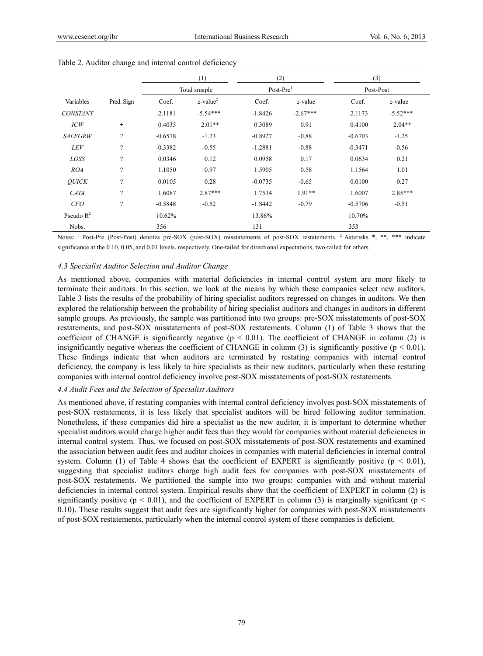|                 |                          | (1)          |                         | (2)         |            | (3)       |            |
|-----------------|--------------------------|--------------|-------------------------|-------------|------------|-----------|------------|
|                 |                          | Total smaple |                         | $Post-Pre1$ |            | Post-Post |            |
| Variables       | Pred. Sign               | Coef.        | $z$ -value <sup>2</sup> | Coef.       | z-value    | Coef.     | z-value    |
| <b>CONSTANT</b> |                          | $-2.1181$    | $-5.54***$              | $-1.8426$   | $-2.67***$ | $-2.1173$ | $-5.52***$ |
| ICW             | $\ddot{}$                | 0.4035       | $2.01**$                | 0.3089      | 0.91       | 0.4100    | $2.04**$   |
| <b>SALEGRW</b>  | $\gamma$                 | $-0.6578$    | $-1.23$                 | $-0.8927$   | $-0.88$    | $-0.6703$ | $-1.25$    |
| <b>LEV</b>      | $\gamma$                 | $-0.3382$    | $-0.55$                 | $-1.2881$   | $-0.88$    | $-0.3471$ | $-0.56$    |
| LOSS            | $\overline{\mathcal{C}}$ | 0.0346       | 0.12                    | 0.0958      | 0.17       | 0.0634    | 0.21       |
| <b>ROA</b>      | $\gamma$                 | 1.1050       | 0.97                    | 1.5905      | 0.58       | 1.1564    | 1.01       |
| <b>OUICK</b>    | $\gamma$                 | 0.0105       | 0.28                    | $-0.0735$   | $-0.65$    | 0.0100    | 0.27       |
| <b>CATA</b>     | $\gamma$                 | 1.6087       | $2.87***$               | 1.7534      | $1.91**$   | 1.6007    | 2.85***    |
| <i>CFO</i>      | $\gamma$                 | $-0.5848$    | $-0.52$                 | $-1.8442$   | $-0.79$    | $-0.5706$ | $-0.51$    |
| Pseudo $R^2$    |                          | 10.62%       |                         | 13.86%      |            | 10.70%    |            |
| Nobs.           |                          | 356          |                         | 131         |            | 353       |            |

Table 2. Auditor change and internal control deficiency

Notes: <sup>1</sup> Post-Pre (Post-Post) denotes pre-SOX (post-SOX) misstatements of post-SOX restatements. <sup>2</sup> Asterisks \*, \*\*, \*\*\* indicate significance at the 0.10, 0.05, and 0.01 levels, respectively. One-tailed for directional expectations, two-tailed for others.

## *4.3 Specialist Auditor Selection and Auditor Change*

As mentioned above, companies with material deficiencies in internal control system are more likely to terminate their auditors. In this section, we look at the means by which these companies select new auditors. Table 3 lists the results of the probability of hiring specialist auditors regressed on changes in auditors. We then explored the relationship between the probability of hiring specialist auditors and changes in auditors in different sample groups. As previously, the sample was partitioned into two groups: pre-SOX misstatements of post-SOX restatements, and post-SOX misstatements of post-SOX restatements. Column (1) of Table 3 shows that the coefficient of CHANGE is significantly negative ( $p < 0.01$ ). The coefficient of CHANGE in column (2) is insignificantly negative whereas the coefficient of CHANGE in column (3) is significantly positive ( $p < 0.01$ ). These findings indicate that when auditors are terminated by restating companies with internal control deficiency, the company is less likely to hire specialists as their new auditors, particularly when these restating companies with internal control deficiency involve post-SOX misstatements of post-SOX restatements.

# *4.4 Audit Fees and the Selection of Specialist Auditors*

As mentioned above, if restating companies with internal control deficiency involves post-SOX misstatements of post-SOX restatements, it is less likely that specialist auditors will be hired following auditor termination. Nonetheless, if these companies did hire a specialist as the new auditor, it is important to determine whether specialist auditors would charge higher audit fees than they would for companies without material deficiencies in internal control system. Thus, we focused on post-SOX misstatements of post-SOX restatements and examined the association between audit fees and auditor choices in companies with material deficiencies in internal control system. Column (1) of Table 4 shows that the coefficient of EXPERT is significantly positive ( $p < 0.01$ ), suggesting that specialist auditors charge high audit fees for companies with post-SOX misstatements of post-SOX restatements. We partitioned the sample into two groups: companies with and without material deficiencies in internal control system. Empirical results show that the coefficient of EXPERT in column (2) is significantly positive ( $p < 0.01$ ), and the coefficient of EXPERT in column (3) is marginally significant ( $p <$ 0.10). These results suggest that audit fees are significantly higher for companies with post-SOX misstatements of post-SOX restatements, particularly when the internal control system of these companies is deficient.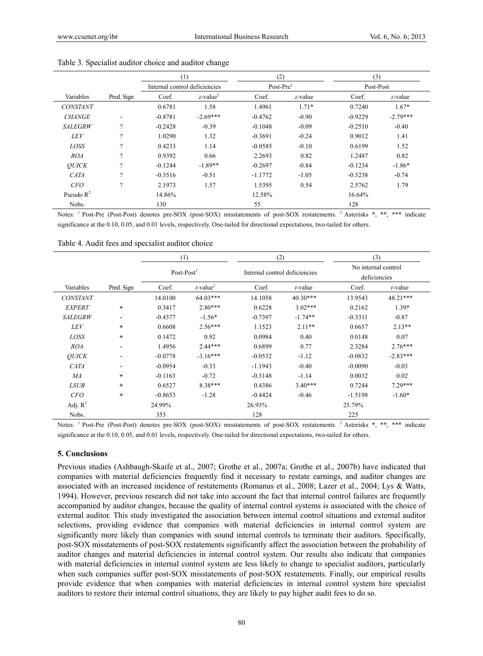|                 |                          | (1)                           |                         | (2)         |         | (3)       |            |
|-----------------|--------------------------|-------------------------------|-------------------------|-------------|---------|-----------|------------|
|                 |                          | Internal control deficiencies |                         | $Post-Pre1$ |         | Post-Post |            |
| Variables       | Pred. Sign               | Coef.                         | $z$ -value <sup>2</sup> | Coef.       | z-value | Coef.     | z-value    |
| <b>CONSTANT</b> |                          | 0.6781                        | 1.58                    | 1.4961      | $1.71*$ | 0.7240    | $1.67*$    |
| <b>CHANGE</b>   | $\overline{\phantom{a}}$ | $-0.8781$                     | $-2.69***$              | $-0.4762$   | $-0.90$ | $-0.9229$ | $-2.79***$ |
| <b>SALEGRW</b>  | $\gamma$                 | $-0.2428$                     | $-0.39$                 | $-0.1048$   | $-0.09$ | $-0.2510$ | $-0.40$    |
| <b>LEV</b>      | $\gamma$                 | 1.0290                        | 1.32                    | $-0.3691$   | $-0.24$ | 0.9012    | 1.41       |
| LOSS            | $\gamma$                 | 0.4233                        | 1.14                    | $-0.0585$   | $-0.10$ | 0.6199    | 1.52       |
| ROA             | $\gamma$                 | 0.9392                        | 0.66                    | 2.2693      | 0.82    | 1.2487    | 0.82       |
| <b>OUICK</b>    | $\Omega$                 | $-0.1244$                     | $-1.89**$               | $-0.2697$   | $-0.84$ | $-0.1234$ | $-1.86*$   |
| <b>CATA</b>     | $\gamma$                 | $-0.3516$                     | $-0.51$                 | $-1.1772$   | $-1.05$ | $-0.5238$ | $-0.74$    |
| CFO             | $\gamma$                 | 2.1973                        | 1.57                    | 1.5395      | 0.54    | 2.5762    | 1.79       |
| Pseudo $R^2$    |                          | 14.86%                        |                         | 12.58%      |         | 16.64%    |            |
| Nobs.           |                          | 130                           |                         | 55          |         | 128       |            |

#### Table 3. Specialist auditor choice and auditor change

Notes: <sup>1</sup> Post-Pre (Post-Post) denotes pre-SOX (post-SOX) misstatements of post-SOX restatements. <sup>2</sup> Asterisks \*, \*\*, \*\*\* indicate significance at the 0.10, 0.05, and 0.01 levels, respectively. One-tailed for directional expectations, two-tailed for others.

|                 |                          | (1)<br>$Post-Post1$ |                         | $\left( 2\right)$             |            | (3)                                 |            |
|-----------------|--------------------------|---------------------|-------------------------|-------------------------------|------------|-------------------------------------|------------|
|                 |                          |                     |                         | Internal control deficiencies |            | No internal control<br>deficiencies |            |
| Variables       | Pred. Sign               | Coef.               | $t$ -value <sup>2</sup> | Coef.                         | $t$ -value | Coef.                               | $t$ -value |
| <b>CONSTANT</b> |                          | 14.0100             | $64.03***$              | 14.1058                       | $40.30***$ | 13.9543                             | 48.21***   |
| <b>EXPERT</b>   | $\ddot{}$                | 0.3417              | $2.80***$               | 0.6228                        | $3.02***$  | 0.2162                              | $1.39*$    |
| <b>SALEGRW</b>  | $\overline{\phantom{a}}$ | $-0.4377$           | $-1.56*$                | $-0.7397$                     | $-1.74**$  | $-0.3311$                           | $-0.87$    |
| <b>LEV</b>      | $\ddot{}$                | 0.6608              | $2.56***$               | 1.1523                        | $2.11**$   | 0.6657                              | $2.13**$   |
| LOSS            | $\ddot{}$                | 0.1472              | 0.92                    | 0.0984                        | 0.40       | 0.0148                              | 0.07       |
| <b>ROA</b>      | $\overline{\phantom{0}}$ | 1.4956              | $2.44***$               | 0.6899                        | 0.77       | 2.3284                              | $2.76***$  |
| <b>OUICK</b>    | $\overline{\phantom{a}}$ | $-0.0778$           | $-3.16***$              | $-0.0532$                     | $-1.12$    | $-0.0832$                           | $-2.83***$ |
| <b>CATA</b>     | $\overline{\phantom{0}}$ | $-0.0954$           | $-0.33$                 | $-1.1943$                     | $-0.40$    | $-0.0090$                           | $-0.03$    |
| MA              | $\ddot{}$                | $-0.1163$           | $-0.72$                 | $-0.3148$                     | $-1.14$    | 0.0032                              | 0.02       |
| <b>LSUB</b>     | $+$                      | 0.6527              | 8.38***                 | 0.4386                        | $3.40***$  | 0.7244                              | $7.29***$  |
| <b>CFO</b>      | $\ddot{}$                | $-0.8653$           | $-1.28$                 | $-0.4424$                     | $-0.46$    | $-1.5198$                           | $-1.60*$   |
| Adj. $R^2$      |                          | 24.99%              |                         | 26.93%                        |            | 25.79%                              |            |
| Nobs.           |                          | 353                 |                         | 128                           |            | 225                                 |            |

Table 4. Audit fees and specialist auditor choice

Notes: <sup>1</sup> Post-Pre (Post-Post) denotes pre-SOX (post-SOX) misstatements of post-SOX restatements. <sup>2</sup> Asterisks \*, \*\*, \*\*\* indicate significance at the 0.10, 0.05, and 0.01 levels, respectively. One-tailed for directional expectations, two-tailed for others.

## **5. Conclusions**

Previous studies (Ashbaugh-Skaife et al., 2007; Grothe et al., 2007a; Grothe et al., 2007b) have indicated that companies with material deficiencies frequently find it necessary to restate earnings, and auditor changes are associated with an increased incidence of restatements (Romanus et al., 2008; Lazer et al., 2004; Lys & Watts, 1994). However, previous research did not take into account the fact that internal control failures are frequently accompanied by auditor changes, because the quality of internal control systems is associated with the choice of external auditor. This study investigated the association between internal control situations and external auditor selections, providing evidence that companies with material deficiencies in internal control system are significantly more likely than companies with sound internal controls to terminate their auditors. Specifically, post-SOX misstatements of post-SOX restatements significantly affect the association between the probability of auditor changes and material deficiencies in internal control system. Our results also indicate that companies with material deficiencies in internal control system are less likely to change to specialist auditors, particularly when such companies suffer post-SOX misstatements of post-SOX restatements. Finally, our empirical results provide evidence that when companies with material deficiencies in internal control system hire specialist auditors to restore their internal control situations, they are likely to pay higher audit fees to do so.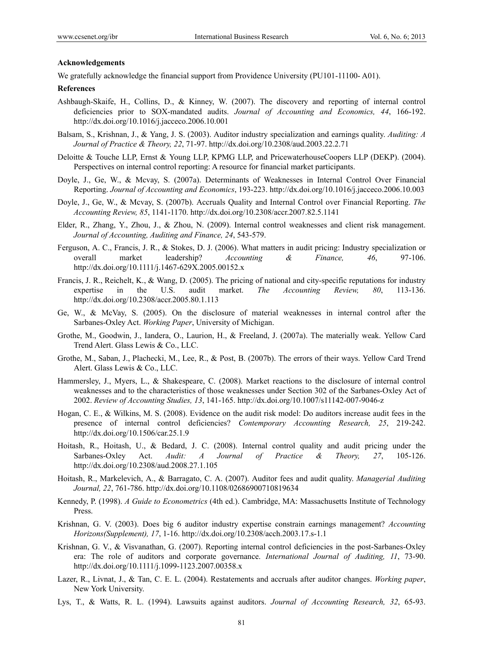## **Acknowledgements**

We gratefully acknowledge the financial support from Providence University (PU101-11100-A01).

#### **References**

- Ashbaugh-Skaife, H., Collins, D., & Kinney, W. (2007). The discovery and reporting of internal control deficiencies prior to SOX-mandated audits. *Journal of Accounting and Economics, 44*, 166-192. http://dx.doi.org/10.1016/j.jacceco.2006.10.001
- Balsam, S., Krishnan, J., & Yang, J. S. (2003). Auditor industry specialization and earnings quality. *Auditing: A Journal of Practice & Theory, 22*, 71-97. http://dx.doi.org/10.2308/aud.2003.22.2.71
- Deloitte & Touche LLP, Ernst & Young LLP, KPMG LLP, and PricewaterhouseCoopers LLP (DEKP). (2004). Perspectives on internal control reporting: A resource for financial market participants.
- Doyle, J., Ge, W., & Mcvay, S. (2007a). Determinants of Weaknesses in Internal Control Over Financial Reporting. *Journal of Accounting and Economics*, 193-223. http://dx.doi.org/10.1016/j.jacceco.2006.10.003
- Doyle, J., Ge, W., & Mcvay, S. (2007b). Accruals Quality and Internal Control over Financial Reporting. *The Accounting Review, 85*, 1141-1170. http://dx.doi.org/10.2308/accr.2007.82.5.1141
- Elder, R., Zhang, Y., Zhou, J., & Zhou, N. (2009). Internal control weaknesses and client risk management. *Journal of Accounting, Auditing and Finance, 24*, 543-579.
- Ferguson, A. C., Francis, J. R., & Stokes, D. J. (2006). What matters in audit pricing: Industry specialization or overall market leadership? *Accounting & Finance, 46*, 97-106. http://dx.doi.org/10.1111/j.1467-629X.2005.00152.x
- Francis, J. R., Reichelt, K., & Wang, D. (2005). The pricing of national and city-specific reputations for industry expertise in the U.S. audit market. *The Accounting Review, 80*, 113-136. http://dx.doi.org/10.2308/accr.2005.80.1.113
- Ge, W., & McVay, S. (2005). On the disclosure of material weaknesses in internal control after the Sarbanes-Oxley Act. *Working Paper*, University of Michigan.
- Grothe, M., Goodwin, J., Iandera, O., Laurion, H., & Freeland, J. (2007a). The materially weak. Yellow Card Trend Alert. Glass Lewis & Co., LLC.
- Grothe, M., Saban, J., Plachecki, M., Lee, R., & Post, B. (2007b). The errors of their ways. Yellow Card Trend Alert. Glass Lewis & Co., LLC.
- Hammersley, J., Myers, L., & Shakespeare, C. (2008). Market reactions to the disclosure of internal control weaknesses and to the characteristics of those weaknesses under Section 302 of the Sarbanes-Oxley Act of 2002. *Review of Accounting Studies, 13*, 141-165. http://dx.doi.org/10.1007/s11142-007-9046-z
- Hogan, C. E., & Wilkins, M. S. (2008). Evidence on the audit risk model: Do auditors increase audit fees in the presence of internal control deficiencies? *Contemporary Accounting Research, 25*, 219-242. http://dx.doi.org/10.1506/car.25.1.9
- Hoitash, R., Hoitash, U., & Bedard, J. C. (2008). Internal control quality and audit pricing under the Sarbanes-Oxley Act. *Audit: A Journal of Practice & Theory, 27*, 105-126. http://dx.doi.org/10.2308/aud.2008.27.1.105
- Hoitash, R., Markelevich, A., & Barragato, C. A. (2007). Auditor fees and audit quality. *Managerial Auditing Journal, 22*, 761-786. http://dx.doi.org/10.1108/02686900710819634
- Kennedy, P. (1998). *A Guide to Econometrics* (4th ed.). Cambridge, MA: Massachusetts Institute of Technology Press.
- Krishnan, G. V. (2003). Does big 6 auditor industry expertise constrain earnings management? *Accounting Horizons(Supplement), 17*, 1-16. http://dx.doi.org/10.2308/acch.2003.17.s-1.1
- Krishnan, G. V., & Visvanathan, G. (2007). Reporting internal control deficiencies in the post-Sarbanes-Oxley era: The role of auditors and corporate governance. *International Journal of Auditing, 11*, 73-90. http://dx.doi.org/10.1111/j.1099-1123.2007.00358.x
- Lazer, R., Livnat, J., & Tan, C. E. L. (2004). Restatements and accruals after auditor changes. *Working paper*, New York University.
- Lys, T., & Watts, R. L. (1994). Lawsuits against auditors. *Journal of Accounting Research, 32*, 65-93.